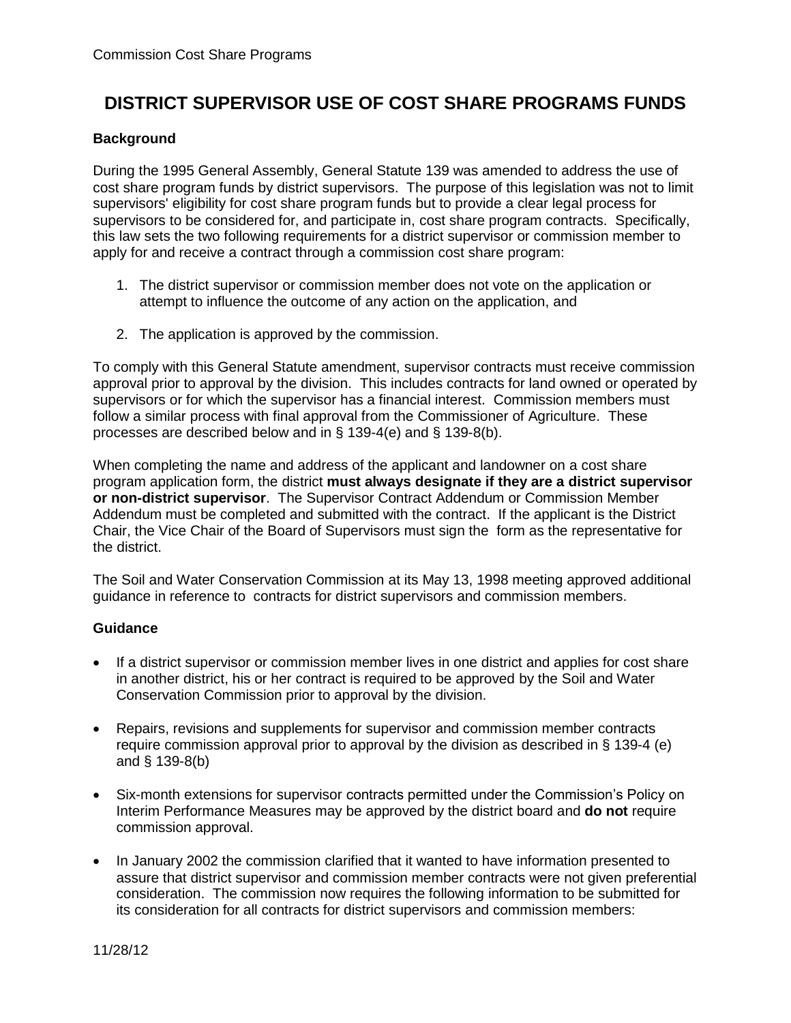## **DISTRICT SUPERVISOR USE OF COST SHARE PROGRAMS FUNDS**

## **Background**

During the 1995 General Assembly, General Statute 139 was amended to address the use of cost share program funds by district supervisors. The purpose of this legislation was not to limit supervisors' eligibility for cost share program funds but to provide a clear legal process for supervisors to be considered for, and participate in, cost share program contracts. Specifically, this law sets the two following requirements for a district supervisor or commission member to apply for and receive a contract through a commission cost share program:

- 1. The district supervisor or commission member does not vote on the application or attempt to influence the outcome of any action on the application, and
- 2. The application is approved by the commission.

To comply with this General Statute amendment, supervisor contracts must receive commission approval prior to approval by the division. This includes contracts for land owned or operated by supervisors or for which the supervisor has a financial interest. Commission members must follow a similar process with final approval from the Commissioner of Agriculture. These processes are described below and in § 139-4(e) and § 139-8(b).

When completing the name and address of the applicant and landowner on a cost share program application form, the district **must always designate if they are a district supervisor or non-district supervisor**. The Supervisor Contract Addendum or Commission Member Addendum must be completed and submitted with the contract. If the applicant is the District Chair, the Vice Chair of the Board of Supervisors must sign the form as the representative for the district.

The Soil and Water Conservation Commission at its May 13, 1998 meeting approved additional guidance in reference to contracts for district supervisors and commission members.

## **Guidance**

- If a district supervisor or commission member lives in one district and applies for cost share in another district, his or her contract is required to be approved by the Soil and Water Conservation Commission prior to approval by the division.
- Repairs, revisions and supplements for supervisor and commission member contracts require commission approval prior to approval by the division as described in § 139-4 (e) and § 139-8(b)
- Six-month extensions for supervisor contracts permitted under the Commission's Policy on Interim Performance Measures may be approved by the district board and **do not** require commission approval.
- In January 2002 the commission clarified that it wanted to have information presented to assure that district supervisor and commission member contracts were not given preferential consideration. The commission now requires the following information to be submitted for its consideration for all contracts for district supervisors and commission members: